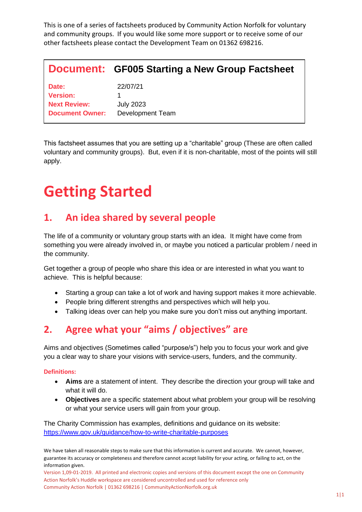This is one of a series of factsheets produced by Community Action Norfolk for voluntary and community groups. If you would like some more support or to receive some of our other factsheets please contact the Development Team on 01362 698216.

|                                                                           | <b>Document: GF005 Starting a New Group Factsheet</b> |
|---------------------------------------------------------------------------|-------------------------------------------------------|
| Date:<br><b>Version:</b><br><b>Next Review:</b><br><b>Document Owner:</b> | 22/07/21<br><b>July 2023</b><br>Development Team      |

This factsheet assumes that you are setting up a "charitable" group (These are often called voluntary and community groups). But, even if it is non-charitable, most of the points will still apply.

# **Getting Started**

### **1. An idea shared by several people**

The life of a community or voluntary group starts with an idea. It might have come from something you were already involved in, or maybe you noticed a particular problem / need in the community.

Get together a group of people who share this idea or are interested in what you want to achieve. This is helpful because:

- Starting a group can take a lot of work and having support makes it more achievable.
- People bring different strengths and perspectives which will help you.
- Talking ideas over can help you make sure you don't miss out anything important.

## **2. Agree what your "aims / objectives" are**

Aims and objectives (Sometimes called "purpose/s") help you to focus your work and give you a clear way to share your visions with service-users, funders, and the community.

#### **Definitions:**

- **Aims** are a statement of intent. They describe the direction your group will take and what it will do.
- **Objectives** are a specific statement about what problem your group will be resolving or what your service users will gain from your group.

The Charity Commission has examples, definitions and guidance on its website: <https://www.gov.uk/guidance/how-to-write-charitable-purposes>

We have taken all reasonable steps to make sure that this information is current and accurate. We cannot, however, guarantee its accuracy or completeness and therefore cannot accept liability for your acting, or failing to act, on the information given.

Version 1,09-01-2019. All printed and electronic copies and versions of this document except the one on Community Action Norfolk's Huddle workspace are considered uncontrolled and used for reference only Community Action Norfolk | 01362 698216 | CommunityActionNorfolk.org.uk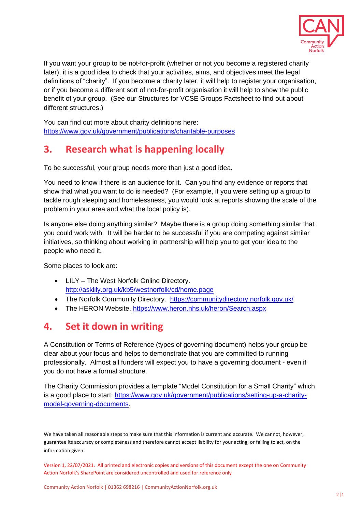

If you want your group to be not-for-profit (whether or not you become a registered charity later), it is a good idea to check that your activities, aims, and objectives meet the legal definitions of "charity". If you become a charity later, it will help to register your organisation, or if you become a different sort of not-for-profit organisation it will help to show the public benefit of your group. (See our Structures for VCSE Groups Factsheet to find out about different structures.)

You can find out more about charity definitions here: <https://www.gov.uk/government/publications/charitable-purposes>

## **3. Research what is happening locally**

To be successful, your group needs more than just a good idea.

You need to know if there is an audience for it. Can you find any evidence or reports that show that what you want to do is needed? (For example, if you were setting up a group to tackle rough sleeping and homelessness, you would look at reports showing the scale of the problem in your area and what the local policy is).

Is anyone else doing anything similar? Maybe there is a group doing something similar that you could work with. It will be harder to be successful if you are competing against similar initiatives, so thinking about working in partnership will help you to get your idea to the people who need it.

Some places to look are:

- LILY The West Norfolk Online Directory. <http://asklily.org.uk/kb5/westnorfolk/cd/home.page>
- The Norfolk Community Directory. <https://communitydirectory.norfolk.gov.uk/>
- The HERON Website.<https://www.heron.nhs.uk/heron/Search.aspx>

#### **4. Set it down in writing**

A Constitution or Terms of Reference (types of governing document) helps your group be clear about your focus and helps to demonstrate that you are committed to running professionally. Almost all funders will expect you to have a governing document - even if you do not have a formal structure.

The Charity Commission provides a template "Model Constitution for a Small Charity" which is a good place to start: [https://www.gov.uk/government/publications/setting-up-a-charity](https://www.gov.uk/government/publications/setting-up-a-charity-model-governing-documents)[model-governing-documents.](https://www.gov.uk/government/publications/setting-up-a-charity-model-governing-documents)

We have taken all reasonable steps to make sure that this information is current and accurate. We cannot, however, guarantee its accuracy or completeness and therefore cannot accept liability for your acting, or failing to act, on the information given.

Version 1, 22/07/2021. All printed and electronic copies and versions of this document except the one on Community Action Norfolk's SharePoint are considered uncontrolled and used for reference only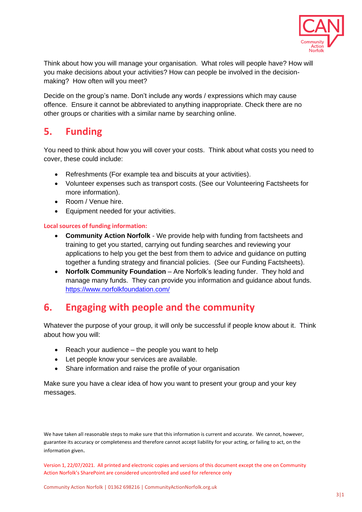

Think about how you will manage your organisation. What roles will people have? How will you make decisions about your activities? How can people be involved in the decisionmaking? How often will you meet?

Decide on the group's name. Don't include any words / expressions which may cause offence. Ensure it cannot be abbreviated to anything inappropriate. Check there are no other groups or charities with a similar name by searching online.

#### **5. Funding**

You need to think about how you will cover your costs. Think about what costs you need to cover, these could include:

- Refreshments (For example tea and biscuits at your activities).
- Volunteer expenses such as transport costs. (See our Volunteering Factsheets for more information).
- Room / Venue hire.
- Equipment needed for your activities.

#### **Local sources of funding information:**

- **Community Action Norfolk** We provide help with funding from factsheets and training to get you started, carrying out funding searches and reviewing your applications to help you get the best from them to advice and guidance on putting together a funding strategy and financial policies. (See our Funding Factsheets).
- **Norfolk Community Foundation** Are Norfolk's leading funder. They hold and manage many funds. They can provide you information and guidance about funds. <https://www.norfolkfoundation.com/>

#### **6. Engaging with people and the community**

Whatever the purpose of your group, it will only be successful if people know about it. Think about how you will:

- Reach your audience the people you want to help
- Let people know your services are available.
- Share information and raise the profile of your organisation

Make sure you have a clear idea of how you want to present your group and your key messages.

We have taken all reasonable steps to make sure that this information is current and accurate. We cannot, however, guarantee its accuracy or completeness and therefore cannot accept liability for your acting, or failing to act, on the information given.

Version 1, 22/07/2021. All printed and electronic copies and versions of this document except the one on Community Action Norfolk's SharePoint are considered uncontrolled and used for reference only